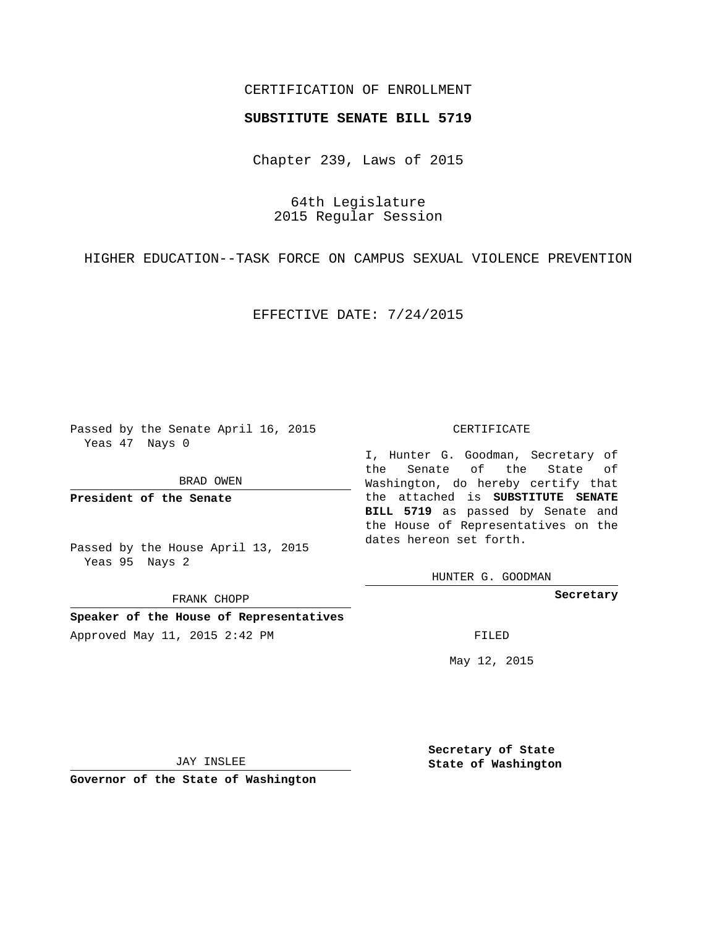## CERTIFICATION OF ENROLLMENT

### **SUBSTITUTE SENATE BILL 5719**

Chapter 239, Laws of 2015

64th Legislature 2015 Regular Session

HIGHER EDUCATION--TASK FORCE ON CAMPUS SEXUAL VIOLENCE PREVENTION

EFFECTIVE DATE: 7/24/2015

Passed by the Senate April 16, 2015 Yeas 47 Nays 0

BRAD OWEN

**President of the Senate**

Passed by the House April 13, 2015 Yeas 95 Nays 2

FRANK CHOPP

**Speaker of the House of Representatives** Approved May 11, 2015 2:42 PM FILED

#### CERTIFICATE

I, Hunter G. Goodman, Secretary of the Senate of the State of Washington, do hereby certify that the attached is **SUBSTITUTE SENATE BILL 5719** as passed by Senate and the House of Representatives on the dates hereon set forth.

HUNTER G. GOODMAN

**Secretary**

May 12, 2015

JAY INSLEE

**Governor of the State of Washington**

**Secretary of State State of Washington**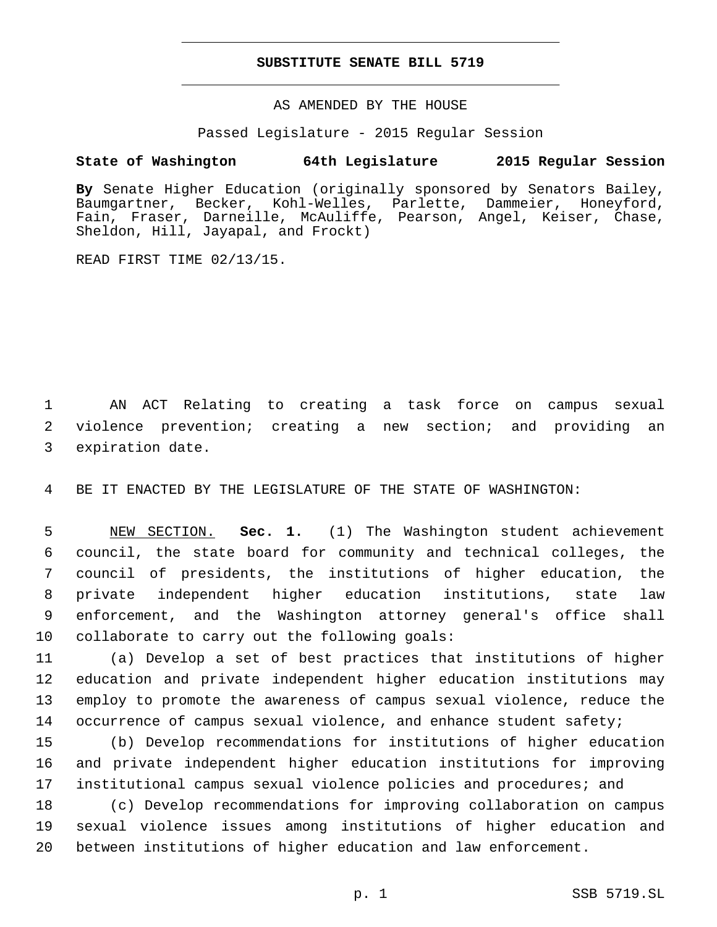## **SUBSTITUTE SENATE BILL 5719**

AS AMENDED BY THE HOUSE

Passed Legislature - 2015 Regular Session

# **State of Washington 64th Legislature 2015 Regular Session**

**By** Senate Higher Education (originally sponsored by Senators Bailey, Baumgartner, Becker, Kohl-Welles, Parlette, Dammeier, Honeyford, Fain, Fraser, Darneille, McAuliffe, Pearson, Angel, Keiser, Chase, Sheldon, Hill, Jayapal, and Frockt)

READ FIRST TIME 02/13/15.

1 AN ACT Relating to creating a task force on campus sexual 2 violence prevention; creating a new section; and providing an 3 expiration date.

4 BE IT ENACTED BY THE LEGISLATURE OF THE STATE OF WASHINGTON:

 NEW SECTION. **Sec. 1.** (1) The Washington student achievement council, the state board for community and technical colleges, the council of presidents, the institutions of higher education, the private independent higher education institutions, state law enforcement, and the Washington attorney general's office shall collaborate to carry out the following goals:

 (a) Develop a set of best practices that institutions of higher education and private independent higher education institutions may employ to promote the awareness of campus sexual violence, reduce the 14 occurrence of campus sexual violence, and enhance student safety;

15 (b) Develop recommendations for institutions of higher education 16 and private independent higher education institutions for improving 17 institutional campus sexual violence policies and procedures; and

18 (c) Develop recommendations for improving collaboration on campus 19 sexual violence issues among institutions of higher education and 20 between institutions of higher education and law enforcement.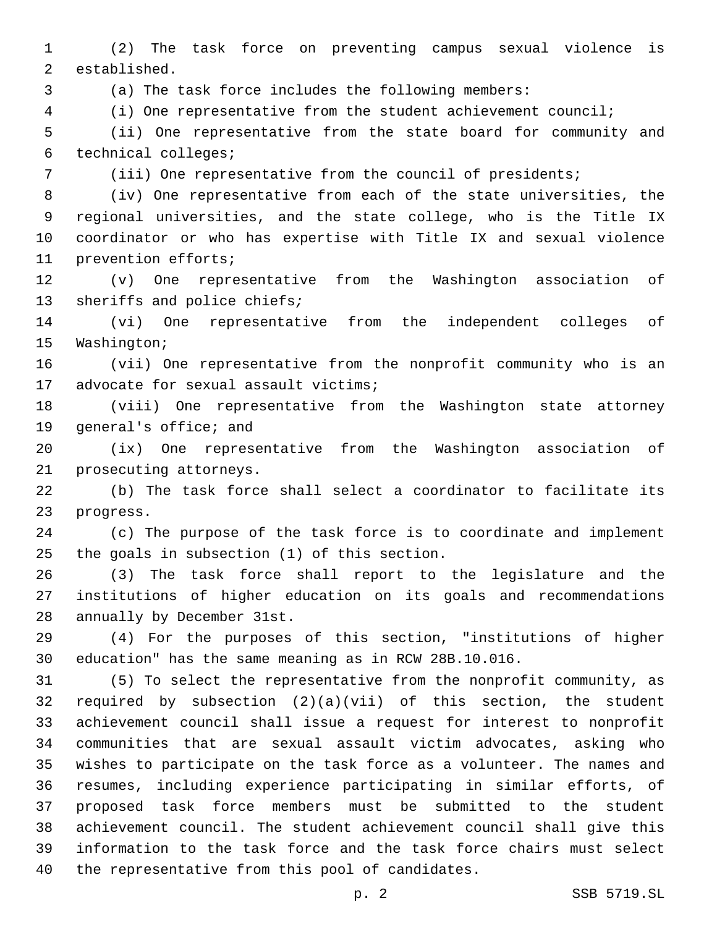(2) The task force on preventing campus sexual violence is 2 established.

(a) The task force includes the following members:

(i) One representative from the student achievement council;

 (ii) One representative from the state board for community and technical colleges;6

(iii) One representative from the council of presidents;

 (iv) One representative from each of the state universities, the regional universities, and the state college, who is the Title IX coordinator or who has expertise with Title IX and sexual violence 11 prevention efforts;

 (v) One representative from the Washington association of sheriffs and police chiefs*;*

 (vi) One representative from the independent colleges of 15 Washington;

 (vii) One representative from the nonprofit community who is an 17 advocate for sexual assault victims;

 (viii) One representative from the Washington state attorney 19 general's office; and

 (ix) One representative from the Washington association of 21 prosecuting attorneys.

 (b) The task force shall select a coordinator to facilitate its 23 progress.

 (c) The purpose of the task force is to coordinate and implement 25 the goals in subsection  $(1)$  of this section.

 (3) The task force shall report to the legislature and the institutions of higher education on its goals and recommendations 28 annually by December 31st.

 (4) For the purposes of this section, "institutions of higher education" has the same meaning as in RCW 28B.10.016.

 (5) To select the representative from the nonprofit community, as required by subsection (2)(a)(vii) of this section, the student achievement council shall issue a request for interest to nonprofit communities that are sexual assault victim advocates, asking who wishes to participate on the task force as a volunteer. The names and resumes, including experience participating in similar efforts, of proposed task force members must be submitted to the student achievement council. The student achievement council shall give this information to the task force and the task force chairs must select 40 the representative from this pool of candidates.